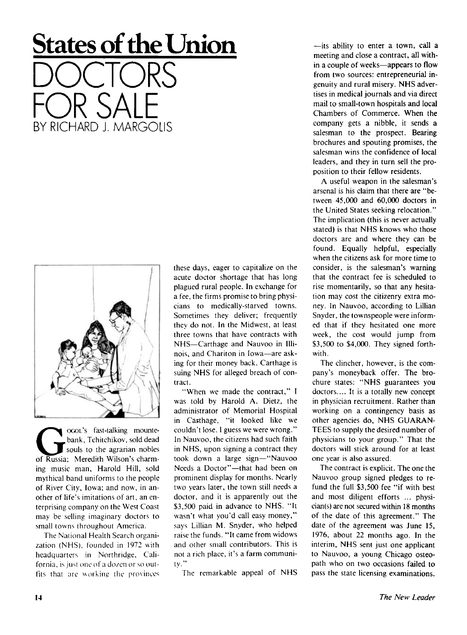## **States of the Union**

DOCTORS FOR SALE BY RICHARD J. MARGOLIS



**GENET SOLUTE:** This assembly controlled and souls to the agrarian nobles of Russia; Meredith Wilson's charm ocoL's fast-talking mountebank, Tchitchikov, sold dead souls to the agrarian nobles ing music man, Harold Hill, sold mythical band uniforms to the people of River City, Iowa; and now, in another of life's imitations of art, an enterprising company on the West Coast may be selling imaginary doctors to small towns throughout America.

The National Health Search organization (NHS), founded in 1972 with headquarters in Northridge, California, is just one of a dozen or so outfits that are working the provinces these days, eager to capitalize on the acute doctor shortage that has long plagued rural people. In exchange for a fee, the firms promise to bring physicians to medically-starved towns. Sometimes they deliver; frequently they do not. In the Midwest, at least three towns that have contracts with NHS—Carthage and Nauvoo in Illinois, and Chariton in Iowa—are asking for their money back. Carthage is suing NHS for alleged breach of contract.

"When we made the contract," I was told by Harold A. Dietz, the administrator of Memorial Hospital in Carthage, "it looked like we couldn't lose. I guess we were wrong." In Nauvoo, the citizens had such faith in NHS, upon signing a contract they took down a large sign—"Nauvoo Needs a Doctor"—that had been on prominent display for months. Nearly two years later, the town still needs a doctor, and it is apparently out the \$3,500 paid in advance to NHS. "It wasn't what you'd call easy money," says Lillian M. Snyder, who helped raise the funds. "It came from widows and other small contributors. This is not a rich place, it's a farm communi $iv$ ."

The remarkable appeal of NHS

—its ability to enter a town, call a meeting and close a contract, all within a couple of weeks—appears to flow from two sources: entrepreneurial ingenuity and rural misery. NHS advertises in medical journals and via direct mail to small-town hospitals and local Chambers of Commerce. When the company gets a nibble, it sends a salesman to the prospect. Bearing brochures and spouting promises, the salesman wins the confidence of local leaders, and they in turn sell the proposition to their fellow residents.

A useful weapon in the salesman's arsenal is his claim that there are "between 45,000 and 60,000 doctors in the United States seeking relocation." The implication (this is never actually stated) is that NHS knows who those doctors are and where they can be found. Equally helpful, especially when the citizens ask for more time to consider, is the salesman's warning that the contract fee is scheduled to rise momentarily, so that any hesitation may cost the citizenry extra money. In Nauvoo, according to Lillian Snyder, the townspeople were informed that if they hesitated one more week, the cost would jump from \$3,500 to \$4,000. They signed forthwith.

The clincher, however, is the company's moneyback offer. The brochure states: "NHS guarantees you doctors.... It is a totally new concept in physician recruitment. Rather than working on a contingency basis as other agencies do, NHS GUARAN-TEES to supply the desired number of physicians to your group." That the doctors will stick around for at least one year is also assured.

The contract is explicit. The one the Nauvoo group signed pledges to refund the full \$3,500 fee "if with best and most diligent efforts ... physician(s) are not secured within 18 months of the date of this agreement." The date of the agreement was June 15, 1976, about 22 months ago. In the interim, NHS sent just one applicant to Nauvoo, a young Chicago osteopath who on two occasions failed to pass the state licensing examinations.